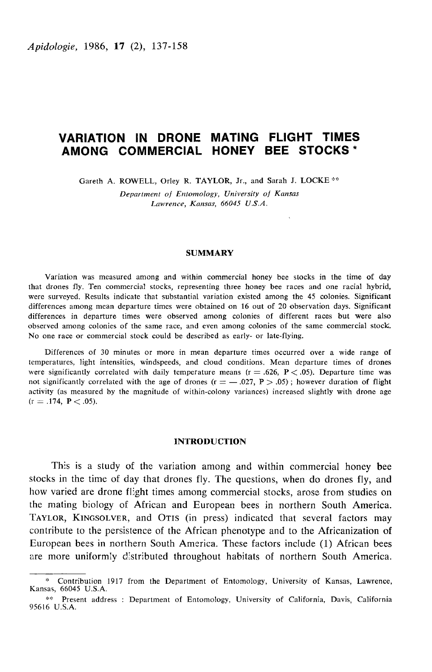# VARIATION IN DRONE MATING FLIGHT TIMES AMONG COMMERCIAL HONEY BEE STOCKS\*

Gareth A. ROWELL, Orley R. TAYLOR, Jr., and Sarah J. LOCKE<sup>\*\*</sup>

Department of Entomology, University of Kansas Lawrence, Kansas, 66045 U.S.A.

# SUMMARY

Variation was measured among and within commercial honey bee stocks in the time of day that drones fly. Ten commercial stocks, representing three honey bee races and one racial hybrid, were surveyed. Results indicate that substantial variation existed among the 45 colonies. Significant differences among mean departure times were obtained on 16 out of 20 observation days. Significant differences in departure times were observed among colonies of different races but were also observed among colonies of the same race, and even among colonies of the same commercial stock. No one race or commercial stock could be described as early- or late-flying.

Differences of 30 minutes or more in mean departure times occurred over a wide range of temperatures, light intensities, windspeeds, and cloud conditions. Mean departure times of drones were significantly correlated with daily temperature means  $(r = .626, P < .05)$ . Departure time was not significantly correlated with the age of drones ( $r = -0.027$ ,  $P > 0.05$ ); however duration of flight activity (as measured by the magnitude of within-colony variances) increased slightly with drone age  $(r = .174, P < .05)$ .

## INTRODUCTION

This is a study of the variation among and within commercial honey bee stocks in the time of day that drones fly. The questions, when do drones fly, and how varied are drone flight times among commercial stocks, arose from studies on the mating biology of African and European bees in northern South America.<br>TAYLOR, KINGSOLVER, and OTIS (in press) indicated that several factors may This is a study of the variation among and within commercial honey bee<br>stocks in the time of day that drones fly. The questions, when do drones fly, and<br>how varied are drone flight times among commercial stocks, arose from contribute to the persistence of the African phenotype and to the Africanization of European bees in northern South America. These factors include (1) African bees are more uniformly distributed throughout habitats of northern South America.

<sup>?</sup> Contribution 1917 from the Department of Entomology, University of Kansas, Lawrence, Kansas, 66045 U.S.A.

<sup>\*\*</sup> Present address : Department of Entomology, University of California, Davis, California 95616 U.S.A.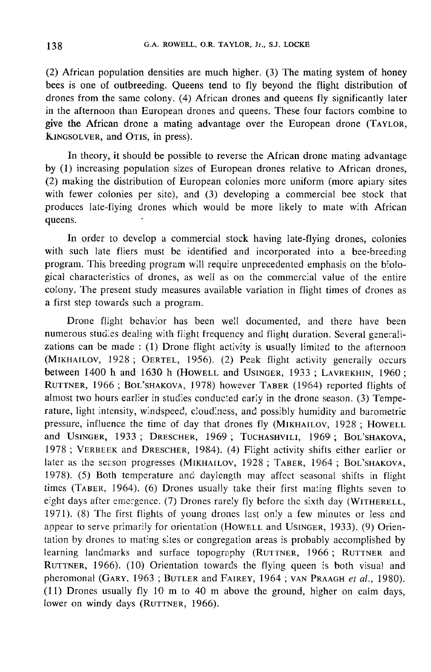(2) African population densities are much higher. (3) The mating system of honey bees is one of outbreeding. Queens tend to fly beyond the flight distribution of drones from the same colony. (4) African drones and queens fly significantly later in the afternoon than European drones and queens. These four factors combine to give (2) African p<br>bees is one of<br>drones from<br>in the afterno<br>give the African<br>KINGSOLVER,<br>In theor is one of outbreeding. Queens tend to fly beyond the flight distribution of<br>es from the same colony. (4) African drones and queens fly significantly later<br>a afternoon than European drones and queens. These four factors com In the atternoon than European d<br>give the African drone a mating<br>KINGSOLVER, and OTIS, in press).

In theory, it should be possible to reverse the African drone mating advantage by (1) increasing population sizes of European drones relative to African drones, (2) making the distribution of European colonies more uniform (more apiary sites with fewer colonies per site), and (3) developing a commercial bee stock that produces late-flying drones which would be more likely to mate with African queens.

In order to develop a commercial stock having late-flying drones, colonies with such late fliers must be identified and incorporated into a bee-breeding program. This breeding program will require unprecedented emphasis on the biological characteristics of drones, as well as on the commercial value of the entire colony. The present study measures available variation in flight times of drones as a first step towards such a program.

Drone flight behavior has been well documented, and there have been numerous studies dealing with flight frequency and flight duration. Several generalizations can be made : (1) Drone flight activity is usually limited to the afternoon (MIKHAILOV, 1928; OERTEL, 1956). (2) Peak flight activity generally occurs and there have been numerous studies dealing with flight frequency and flight duration. Several generalizations can be made : (1) Drone flight acti between 1400 h and 1630 h (HOWELL and USINGER, 1933; LAVREKHIN, 1960; numerous<br>zations ca<br>(MIKHAIL<br>between 1<br>RUTTNER,<br>almost tw ne flight behavior has been well documented, and there have been<br>s studies dealing with flight frequency and flight duration. Several generali-<br>an be made : (1) Drone flight activity is usually limited to the afternoon<br>.ov Humerous studies dealing with Hight frequency and fight duration. Several general-<br>zations can be made : (1) Drone flight activity is usually limited to the afternoon<br>(MIKHAILOV, 1928; OERTEL, 1956). (2) Peak flight activi almost two hours earlier in studies conducted early in the drone season. (3) Temperature, light intensity, windspeed, cloudiness, and possibly humidity and barometric<br>pressure, influence the time of day that drones fly (MIKHAILOV, 1928; HOWELL (MIKHAILOV, 1928; OERTEL, 1956). (2) Peak flight activity generally occurs<br>between 1400 h and 1630 h (HOWELL and USINGER, 1933; LAVREKHIN, 1960;<br>RUTTNER, 1966; BOL'SHAKOVA, 1978) however TABER (1964) reported flights of<br>al rature, light intensity, windspeed, cloudiness, and possibly humidity and b<br>pressure, influence the time of day that drones fly (MIKHAILOV, 1928;<br>and USINGER, 1933; DRESCHER, 1969; TUCHASHVILI, 1969; BOL<br>1978 : VERREEK and almost two hours earlier<br>
rature, light intensity, w<br>
pressure, influence the<br>
and USINGER, 1933;<br>
1978; VERBEEK and L two hours earlier in studies conducted<br>light intensity, windspeed, cloudiness,<br>e, influence the time of day that drosn<br>SINGER, 1933; DRESCHER, 1969;<br>VERBEEK and DRESCHER, 1984). (4<br>the season progresses (MIKHAILOV, ERTEL, 1950). (2) Teak light activity generally occurs<br>
330 h (Howell and Usinger, 1933; LAVREKHIN, 1960;<br>
HAKOVA, 1978) however TABER (1964) reported flights of<br>
in studies conducted early in the drone season. (3) Tempe-1984). (4) Flight activity shifts either earlier or later as the season progresses (MIKHAILOV, 1928; TABER, 1964; 1978). (5) Both temperature and daylength may affect seasonal shifts in flight Here, 1969; Tuchashvill, 1969;<br>
Here, 1984). (4) Flight activity shifts<br>
(MIKHAILOV, 1928; TABER, 1964<br>
and davlength may affect seasonal The Highs of<br>
m. (3) Tempe-<br>
md barometric<br>
128 ; Howell<br>
Bol'SHAKOVA,<br>
ther earlier or<br>
Bol'SHAKOVA,<br>
shifts in flight 1978; VERBEEK and DRESCHER, 1984). (4) Flight activity shifts either earlier or<br>later as the season progresses (MIKHAILOV, 1928; TABER, 1964; BOL'SHAKOVA,<br>1978). (5) Both temperature and daylength may affect seasonal shift eight days after emergence. (7) Drones rarely fly before the sixth 1971). (8) The first flights of young drones last only a few minutes or less and EXTREMOURIES<br>
Solid Superior Carlier on<br>
4 ; Bol'SHAKOVA,<br>
al shifts in flight<br>
g flights seven to<br>
day (WITHERELL,<br>
nutes or less and times (TABER, 1964). (6) Drones usually take their first mating flights seven to eight days after emergence. (7) Drones rarely fly before the sixth day (WITHERELL, 1971). (8) The first flights of young drones last only a f eight days after emergence. (7) Drones rarely fly before the sixth day (WITHERELL, 1971). (8) The first flights of young drones last only a few minutes or less and appear to serve primarily for orientation (HOWELL and USIN 1971). (8) The first riights of young drones fast only a few minutes or less and<br>appear to serve primarily for orientation (HoweLL and USINGER, 1933). (9) Orien-<br>tation by drones to mating sites or congregation areas is p appear to serve primarily for orientation (HOWELL and USINGER, 1933). (9) Orientation by drones to mating sites or congregation areas is probably accomplished by learning landmarks and surface topography (RUTTNER, 1966; RU (11) Drones usually fly 10 m to 40 m above the ground, higher on calm days, learning landmarks and surface topography (RUTTNER, 1966; RUTTNER and RUTTNER, 1966). (10) Orientation towards the flying queen is both visual and pheromonal (GARY, 1963; BUTLER and FAIREY, 1964; VAN PRAAGH *et al.*, 1980)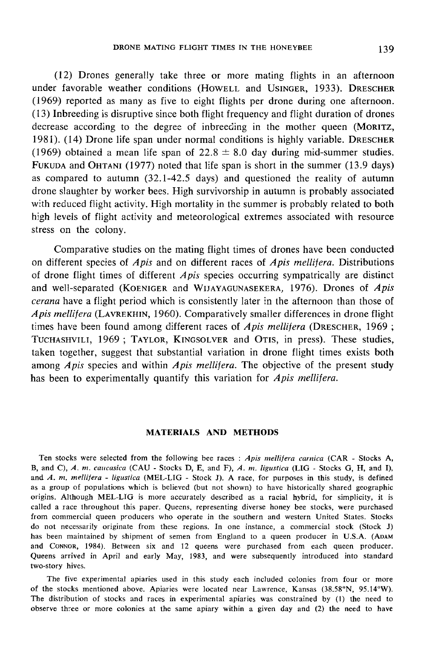(12) Drones generally take three or more mating flights in an afternoon DRONE MATING FLIGHT TIMES IN THE HONEYBEE 139<br>(12) Drones generally take three or more mating flights in an afternoon<br>under favorable weather conditions (HOWELL and USINGER, 1933). DRESCHER (1969) reported as many as five to eight flights per drone during one afternoon. (13) Inbreeding is disruptive since both flight frequency and flight duration of drones under favorable weather conditions (Howell and Usinger, 1933). DRESCHER (1969) reported as many as five to eight flights per drone during one afternoon. (13) Inbreeding is disruptive since both flight frequency and flight (1969) obtained a mean life span of  $22.8 \pm 8.0$  day during mid-summer studies.<br>FUKUDA and OHTANI (1977) noted that life span is short in the summer (13.9 days) decrease according to the degree of inbreeding in the mother queen (MORITZ, 1981). (14) Drone life span under normal conditions is highly variable. DRESCHER (1969) obtained a mean life span of  $22.8 \pm 8.0$  day during middrone slaughter by worker bees. High survivorship in autumn is probably associated with reduced flight activity. High mortality in the summer is probably related to both high levels of flight activity and meteorological extremes associated with resource stress on the colony.

Comparative studies on the mating flight times of drones have been conducted on different species of  $Apis$  and on different races of  $Apis$  mellifera. Distributions of drone flight times of different  $A$ *pis* species occurring sympatrically are distinct as compared to autumn (32.1-42.5 days) and questioned the reality of autumn<br>drone slaughter by worker bees. High survivorship in autumn is probably associated<br>with reduced flight activity. High mortality in the summer is cerana have a flight period which is consistently later in the afternoon than those of Comparative studies on the mating flight times of drones have been conducted<br>on different species of Apis and on different races of Apis mellifera. Distributions<br>of drone flight times of different Apis species occurring s of drone flight times of Apis and on different races of Apis metaplera. Eistnoations<br>of drone flight times of different Apis species occurring sympatrically are distinct<br>and well-separated (KOENIGER and WIJAYAGUNASEKERA, of drone flight times of different *Apis* species occurring sympatrically are distinct<br>and well-separated (KOENIGER and WIJAYAGUNASEKERA, 1976). Drones of *Apis*<br>*cerana* have a flight period which is consistently later i taken together, suggest that substantial variation in drone flight times exists both among *Apis* species and within *Apis mellitera*. The objective of the present study has been to experimentally quantify this variation for  $A$ *pis mellifera*.

# MATERIALS AND METHODS

Ten stocks were selected from the following bee races : Apis mellifera carnica (CAR - Stocks A, B, and C), A. m. caucasica (CAU - Stocks D, E, and F), A. m. ligustica (LIG - Stocks G, H, and I), and A. m. mellifera - ligustica (MEL-LIG - Stock J). A race, for purposes in this study, is defined as a group of populations which is believed (but not shown) to have historically shared geographic origins. Although MEL-LIG is more accurately described as a racial hybrid, for simplicity, it is called a race throughout this paper. Queens, representing diverse honey bee stocks, were purchased from commercial queen producers who operate in the southern and western United States. Stocks do not necessarily originate from these regions. In one instance, a commercial stock (Stock J) and CONNOR, 1984). Between six and 12 queens were purchased from each queen producer. Queens arrived in April and early May, 1983, and were subsequently introduced into standard two-story hives.

The five experimental apiaries used in this study each included colonies from four or more of the stocks mentioned above. Apiaries were located near Lawrence, Kansas (38.58°N, 95.14°W). The distribution of stocks and races in experimental apiaries was constrained by (1) the need to observe three or more colonies at the same apiary within a given day and (2) the need to have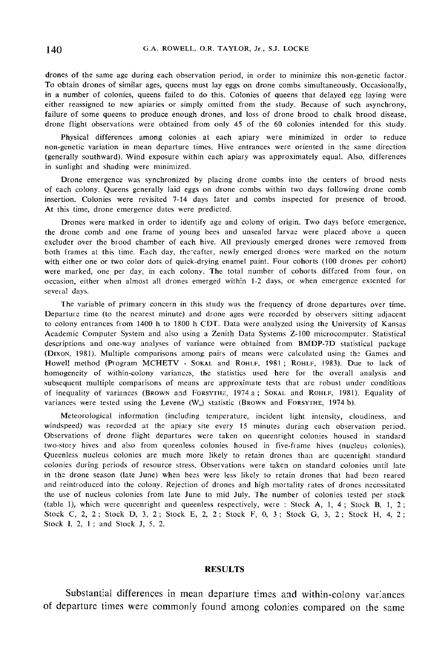drones of the same age during each observation period, in order to minimize this non-genetic factor. To obtain drones of similar ages, queens must lay eggs on drone combs simultaneously. Occasionally, in a number of colonies, queens failed to do this. Colonies of queens that delayed egg laying were either reassigned to new apiaries or simply omitted from the study. Because of such asynchrony, failure of some queens to produce enough drones, and loss of drone brood to chalk brood disease, drone flight observations were obtained from only 45 of the 60 colonies intended for this study.

Physical differences among colonies at each apiary were minimized in order to reduce non-genetic variation in mean departure times. Hive entrances were oriented in the same direction (generally southward). Wind exposure within each apiary was approximately equal. Also, differences in sunlight and shading were minimized.

Drone emergence was synchronized by placing drone combs into the centers of brood nests of each colony. Queens generally laid eggs on drone combs within two days following drone comb insertion. Colonies were revisited 7-14 days later and combs inspected for presence of brood. At this time, drone emergence dates were predicted.

Drones were marked in order to identify age and colony of origin. Two days before emergence, the drone comb and one frame of young bees and unsealed larvae were placed above a queen excluder over the brood chamber of each hive. All previously emerged drones were removed from both frames at this time. Each day, thereafter, newly emerged drones were marked on the notum with either one or two color dots of quick-drying enamel paint. Four cohorts (100 drones per cohort) were marked, one per day, in each colony. The total number of cohorts differed from four, on occasion, either when almost all drones emerged within 1-2 days, or when emergence extented for several days.

The variable of primary concern in this study was the frequency of drone departures over time. Departure time (to the nearest minute) and drone ages were recorded by observers sitting adjacent to colony entrances from 1400 h to 1800 h CDT. Data were analyzed using the University of Kansas Academic Computer System and also using a Zenith Data Systems Z-100 microcomputer. Statistical descriptions and one-way analyses of variance were obtained from BMDP-7D statistical package (B colony entrances from 1400 n to 1800 n CD1, Data were analyzed using the University of Kansas Academic Computer System and also using a Zenith Data Systems Z-100 microcomputer. Statistical descriptions and one-way analy homogeneity of within-colony variances, the statistics used here for the overall analysis and subsequent multiple comparisons of means are approximate tests that are robust under conditions of inequality of variances (BROWN and FORSYTHE, 1974 a; SOKAL and ROHLF, 1981). Equality of Howell method (Program MCHETV - SOKAL and ROHLF, 1981; ROHLF, 1983). Due to lack of homogeneity of within-colony variances, the statistics used here for the overall analysis and subsequent multiple comparisons of means are Howell method (Program MCHETV - SOKAL and ROHLF, 1981; ROHLF, 1983). Due<br>homogeneity of within-colony variances, the statistics used here for the overall<br>subsequent multiple comparisons of means are approximate tests that

Meteorological information (including temperature, incident light intensity, cloudiness, and windspeed) was recorded at the apiary site every 15 minutes during each observation period. Observations of drone flight departures were taken on queenright colonies housed in standard two-story hives and also from queenless colonies housed in five-frame hives (nucleus colonies). Queenless nucleus colonies are much more likely to retain drones than are queenright standard colonies during periods of resource stress. Observations were taken on standard colonies until late in the drone season (late June) when bees were less likely to retain drones that had been reared and reintroduced into the colony. Rejection of drones and high mortality rates of drones necessitated the use of nucleus colonies from late June to mid July. The number of colonies tested per stock (table 1), which were queenright and queenless respectively, were : Stock A, 1, 4 ; Stock B, 1, 2 ; Stock C, 2, 2; Stock D, 3, 2; Stock E, 2, 2; Stock F, 0, 3; Stock G, 3, 2; Stock H, 4, 2; Stock 1, 2, 1 ; and Stock J, 5, 2.

## RESULTS

Substantial differences in mean departure times and within-colony variances of departure times were commonly found among colonies compared on the same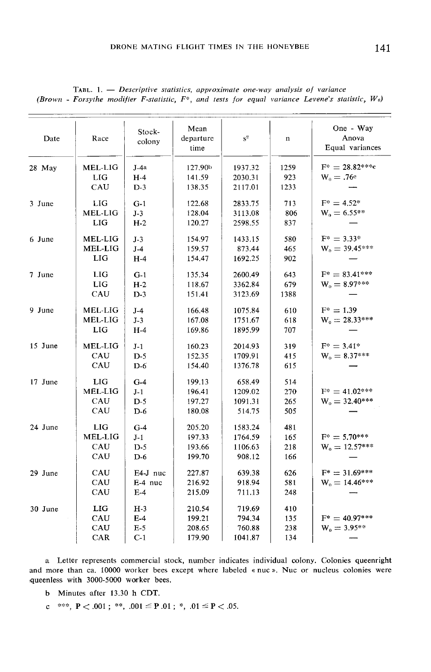| Date    | Race       | Stock-<br>colony | Mean<br>departure<br>time | $s^2$             | $\mathbf n$ | One - Way<br>Anova<br>Equal variances |
|---------|------------|------------------|---------------------------|-------------------|-------------|---------------------------------------|
| 28 May  | MEL-LIG    | $J-4a$           | 127.90 <sup>b</sup>       | 1937.32           | 1259        | $F^* = 28.82***c$                     |
|         | <b>LIG</b> | $H-4$            | 141.59                    | 2030.31           | 923         | $W_0 = .76c$                          |
|         | CAU        | $D-3$            | 138.35                    | 2117.01           | 1233        |                                       |
|         |            |                  |                           |                   |             | $F^* = 4.52^*$                        |
| 3 June  | LIG        | $G-1$            | 122.68                    | 2833.75           | 713         |                                       |
|         | MEL-LIG    | $J-3$            | 128.04                    | 3113.08           | 806         | $W_0 = 6.55**$                        |
|         | LIG        | $H-2$            | 120.27                    | 2598.55           | 837         |                                       |
| 6 June  | MEL-LIG    | $J-3$            | 154.97                    | 1433.15           | 580         | $F^* = 3.33^*$                        |
|         | MEL-LIG    | $J-4$            | 159.57                    | 873.44            | 465         | $W_0 = 39.45***$                      |
|         | <b>LIG</b> | $H-4$            | 154.47                    | 1692.25           | 902         |                                       |
| 7 June  | <b>LIG</b> | $G-1$            | 135.34                    | 2600.49           | 643         | $F^* = 83.41***$                      |
|         | <b>LIG</b> | $H-2$            | 118.67                    | 3362.84           | 679         | $W_0 = 8.97***$                       |
|         | CAU        | $D-3$            | 151.41                    | 3123.69           | 1388        |                                       |
|         |            |                  |                           |                   |             |                                       |
| 9 June  | MEL-LIG    | $J-4$            | 166.48                    | 1075.84           | 610         | $F^* = 1.39$                          |
|         | MEL-LIG    | $J-3$            | 167.08                    | 1751.67           | 618         | $W_0 = 28.33***$                      |
|         | LIG        | $H-4$            | 169.86                    | 1895.99           | 707         |                                       |
| 15 June | MEL-LIG    | $J-1$            | 160.23                    | 2014.93           | 319         | $F^* = 3.41^*$                        |
|         | CAU        | $D-5$            | 152.35                    | 1709.91           | 415         | $W_0 = 8.37***$                       |
|         | CAU        | $D-6$            | 154.40                    | 1376.78           | 615         |                                       |
| 17 June | LIG        | $G-4$            | 199.13                    | 658.49            | 514         |                                       |
|         | MEL-LIG    | $J-1$            | 196.41                    | 1209.02           | 270         | $F^* = 41.02***$                      |
|         | CAU        | $D-5$            |                           |                   |             | $W_0 = 32.40***$                      |
|         | CAU        | $D-6$            | 197.27<br>180.08          | 1091.31<br>514.75 | 265<br>505  |                                       |
|         |            |                  |                           |                   |             |                                       |
| 24 June | LIG        | $G-4$            | 205,20                    | 1583.24           | 481         |                                       |
|         | MEL-LIG    | $J-1$            | 197.33                    | 1764.59           | 165         | $F^* = 5.70***$                       |
|         | CAU        | $D-5$            | 193.66                    | 1106.63           | 218         | $W_0 = 12.57***$                      |
|         | CAU        | $D-6$            | 199.70                    | 908.12            | 166         |                                       |
| 29 June | CAU        | E4-J nuc         | 227.87                    | 639.38            | 626         | $F^* = 31.69***$                      |
|         | CAU        | E-4 nuc          | 216.92                    | 918.94            | 581         | $W_0 = 14.46***$                      |
|         | CAU        | $E-4$            | 215.09                    | 711.13            | 248         |                                       |
|         |            |                  |                           |                   |             |                                       |
| 30 June | LIG        | $H-3$            | 210.54                    | 719.69            | 410         |                                       |
|         | CAU        | $E-4$            | 199.21                    | 794.34            | 135         | $F^* = 40.97***$                      |
|         | CAU        | $E-5$            | 208.65                    | 760.88            | 238         | $W_0 = 3.95***$                       |
|         | CAR        | $C-1$            | 179.90                    | 1041.87           | 134         |                                       |

TABL. 1. - Descriptive statistics, approximate one-way analysis of variance (Brown - Forsythe modifier F-statistic,  $F^*$ , and tests for equal variance Levene's statistic,  $W_0$ )

a Letter represents commercial stock, number indicates individual colony. Colonies queenright and more than ca. 10000 worker bees except where labeled « nuc ». Nuc or nucleus colonies were queenless with 3000-5000 worker bees.

- b Minutes after 13.30 h CDT.
- c \*\*\*,  $P < .001$ ; \*\*,  $.001 \le P .01$ ; \*,  $.01 \le P < .05$ .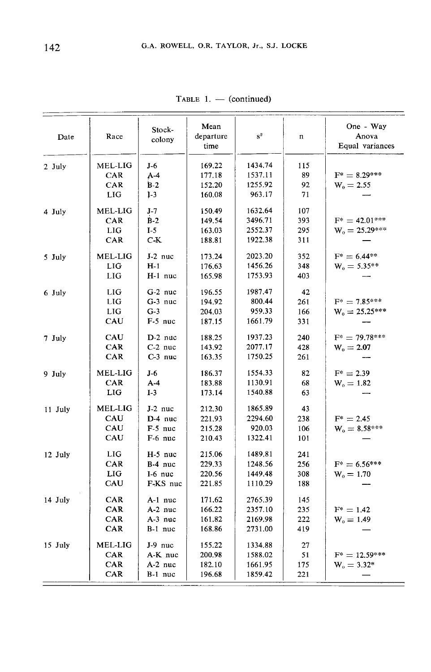| Date    | Race            | Stock-<br>colony | Mean<br>departure<br>time | $\mathbf{s}^2$ | n   | One - Way<br>Anova<br>Equal variances |
|---------|-----------------|------------------|---------------------------|----------------|-----|---------------------------------------|
| 2 July  | MEL-LIG         | J-6              | 169,22                    | 1434.74        | 115 |                                       |
|         | CAR             | $A-4$            | 177.18                    | 1537.11        | 89  | $F^* = 8.29***$                       |
|         | CAR             | $B-2$            | 152.20                    | 1255.92        | 92  | $W_0 = 2.55$                          |
|         | LIG             | $1-3$            | 160.08                    | 963.17         | 71  |                                       |
| 4 July  | MEL-LIG         | $J-7$            | 150.49                    | 1632.64        | 107 |                                       |
|         | CAR             | $B-2$            | 149.54                    | 3496.71        | 393 | $F^* = 42.01***$                      |
|         | LIG             | $I-5$            | 163.03                    | 2552.37        | 295 | $W_0 = 25.29***$                      |
|         | CAR             | $C-K$            | 188.81                    | 1922.38        | 311 |                                       |
| 5 July  | MEL-LIG         | $J-2$ nuc        | 173.24                    | 2023.20        | 352 | $F^* = 6.44**$                        |
|         | LIG             | $H-1$            | 176.63                    | 1456.26        | 348 | $W_0 = 5.35**$                        |
|         | <b>LIG</b>      | $H-1$ nuc        | 165.98                    | 1753.93        | 403 |                                       |
| 6 July  | LIG             | $G-2$ nuc        | 196.55                    | 1987.47        | 42  |                                       |
|         | <b>LIG</b>      | $G-3$ nuc        | 194.92                    | 800.44         | 261 | $F^* = 7.85***$                       |
|         | LIG             | $G-3$            | 204.03                    | 959.33         | 166 | $W_0 = 25.25***$                      |
|         | CAU             | $F-5$ nuc        | 187.15                    | 1661.79        | 331 |                                       |
| 7 July  | CAU             | $D-2$ nuc        | 188.25                    | 1937.23        | 240 | $F^* = 79.78***$                      |
|         | CAR             | $C-2$ nuc        | 143.92                    | 2077.17        | 428 | $W_0 = 2.07$                          |
|         | CAR             | $C-3$ nuc        | 163.35                    | 1750.25        | 261 |                                       |
| 9 July  | MEL-LIG         | J-6              | 186.37                    | 1554.33        | 82  | $F^* = 2.39$                          |
|         | CAR             | $A-4$            | 183.88                    | 1130.91        | 68  | $W_0 = 1.82$                          |
|         | LIG <sub></sub> | $I-3$            | 173.14                    | 1540.88        | 63  |                                       |
| 11 July | <b>MEL-LIG</b>  | J-2 nuc          | 212.30                    | 1865.89        | 43  |                                       |
|         | CAU             | D-4 nuc          | 221.93                    | 2294.60        | 238 | $F^* = 2.45$                          |
|         | CAU             | $F-5$ nuc        | 215.28                    | 920.03         | 106 | $W_e = 8.58***$                       |
|         | CAU             | F-6 nuc          | 210.43                    | 1322.41        | 101 |                                       |
| 12 July | LIG             | $H-5$ nuc        | 215.06                    | 1489.81        | 241 |                                       |
|         | CAR             | $B-4$ nuc        | 229.33                    | 1248.56        | 256 | $F^* = 6.56***$                       |
|         | LIG             | $I-6$ nuc        | 220.56                    | 1449.48        | 308 | $W_0 = 1.70$                          |
|         | CAU             | F-KS nuc         | 221.85                    | 1110.29        | 188 |                                       |
| 14 July | CAR             | $A-1$ nuc        | 171.62                    | 2765.39        | 145 |                                       |
|         | CAR             | A-2 nuc          | 166.22                    | 2357.10        | 235 | $F^* = 1.42$                          |
|         | CAR             | $A-3$ nuc        | 161.82                    | 2169.98        | 222 | $W_0 = 1.49$                          |
|         | CAR             | $B-1$ nuc        | 168.86                    | 2731.00        | 419 |                                       |
| 15 July | MEL-LIG         | $J-9$ nuc        | 155.22                    | 1334.88        | 27  |                                       |
|         | CAR             | A-K nuc          | 200.98                    | 1588.02        | 51  | $F^* = 12.59***$                      |
|         | CAR             | A-2 nuc          | 182.10                    | 1661.95        | 175 | $W_0 = 3.32*$                         |
|         | CAR             | B-1 nuc          | 196.68                    | 1859.42        | 221 |                                       |

TABLE 1. - (continued)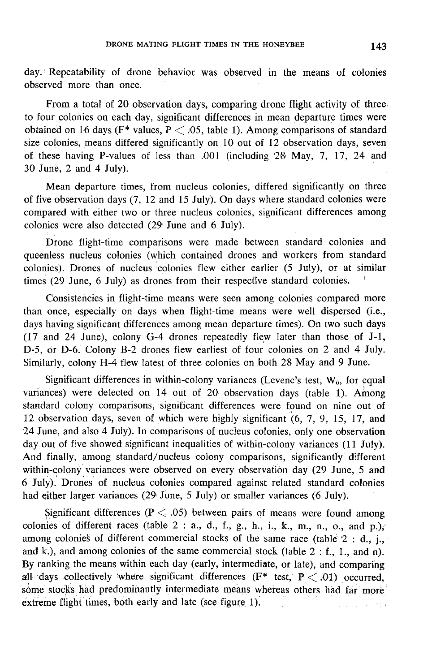day. Repeatability of drone behavior was observed in the means of colonies observed more than once.

From a total of 20 observation days, comparing drone flight activity of three to four colonies on each day, significant differences in mean departure times were obtained on 16 days ( $F^*$  values,  $P < .05$ , table 1). Among comparisons of standard size colonies, means differed significantly on 10 out of 12 observation days, seven of these having P-values of less than .001 (including 2S May, 7, 17, 24 and 30 June, 2 and 4 July).

Mean departure times, from nucleus colonies, differed significantly on three of five observation days (7, 12 and 15 July). On days where standard colonies were compared with either two or three nucleus colonies, significant differences among colonies were also detected (29 June and 6 July).

Drone flight-time comparisons were made between standard colonies and queenless nucleus colonies (which contained drones and workers from standard colonies). Drones of nucleus colonies flew either earlier (5 July), or at similar times (29 June, 6 July) as drones from their respective standard colonies. '

Consistencies in flight-time means were seen among colonies compared more than once, especially on days when flight-time means were well dispersed (i.e., days having significant differences among mean departure times). On two such days (17 and 24 June), colony G-4 drones repeatedly flew later than those of J-1, D-5, or D-6. Colony B-2 drones flew earliest of four colonies on 2 and 4 July. Similarly, colony H-4 flew latest of three colonies on both 28 May and 9 June.

Significant differences in within-colony variances (Levene's test,  $W_0$ , for equal variances) were detected on 14 out of 20 observation days (table 1). Among standard colony comparisons, significant differences were found on nine out of 12 observation days, seven of which were highly significant (6, 7, 9, 15, 17, and 24 June, and also 4 July). In comparisons of nucleus colonies, only one observation day out of five showed significant inequalities of within-colony variances (11 July). And finally, among standard/nucleus colony comparisons, significantly different within-colony variances were observed on every observation day (29 June, 5 and 6 July). Drones of nucleus colonies compared against related standard colonies had either larger variances (29 June, 5 July) or smaller variances (6 July).

Significant differences ( $P < .05$ ) between pairs of means were found among colonies of different races (table  $2: a$ ., d., f., g., h., i., k., m., n., o., and p.), among colonies of different commercial stocks of the same race (table 2 : d., j., and k.), and among colonies of the same commercial stock (table  $2 : f_1$ , 1, and n). By ranking the means within each day (early, intermediate, or late), and comparing all days collectively where significant differences ( $F^*$  test,  $P < .01$ ) occurred, some stocks had predominantly intermediate means whereas others had far more extreme flight times, both early and late (see figure 1).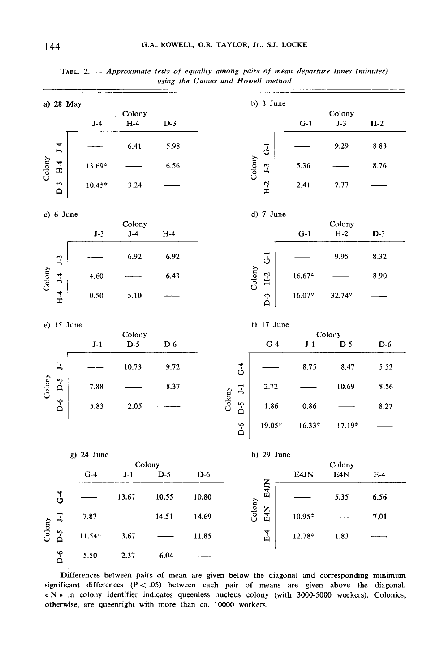| a) 28 May |                |            |                 |       |         | b) 3 June                 |        |                |  |                 |                 |       |
|-----------|----------------|------------|-----------------|-------|---------|---------------------------|--------|----------------|--|-----------------|-----------------|-------|
|           |                | $J-4$      | Colony<br>$H-4$ | $D-3$ |         |                           |        |                |  | $G-1$           | Colony<br>$J-3$ | $H-2$ |
|           | J <sub>4</sub> |            | 6.41            | 5.98  |         |                           |        | $\overline{6}$ |  |                 | 9.29            | 8.83  |
| Colony    | $H-4$          | 13.69*     |                 | 6.56  |         |                           | Colony |                |  | 5.36            |                 | 8.76  |
|           | $D-3$          | $10.45*$   | 3.24            |       |         |                           |        | $H-2$          |  | 2.41            | 7.77            |       |
|           | $c)$ 6 June    |            |                 |       |         |                           |        | d) 7 June      |  |                 |                 |       |
|           |                | $J-3$      | Colony<br>$J-4$ | $H-4$ |         |                           |        |                |  | $G-1$           | Colony<br>$H-2$ | $D-3$ |
|           | $J-3$          |            | 6.92            | 6.92  |         |                           |        | $\overline{G}$ |  |                 | 9.95            | 8.32  |
| Colony    |                | 4.60       |                 | 6.43  |         |                           | Colony | $H-2$          |  | $16.67*$        |                 | 8.90  |
|           | $H-4$ $J-4$    | 0.50       | 5.10            |       |         |                           |        | $\overline{D}$ |  | $16.07^{\circ}$ | 32.74*          |       |
|           |                | e) 15 June |                 |       |         |                           |        | f) $17$ June   |  |                 |                 |       |
|           |                | $J-1$      | Colony<br>$D-5$ | $D-6$ |         |                           |        | $G-4$          |  | $J-1$           | Colony<br>$D-5$ | $D-6$ |
|           | $\Xi$          |            | 10.73           | 9.72  |         | $\mathbf{G}$ <sup>-</sup> |        |                |  | 8.75            | 8.47            | 5.52  |
| Colony    | D-6 D-5        | 7.88       |                 | 8.37  |         | $\mathbf{I}$              |        | 2.72           |  |                 | 10.69           | 8.56  |
|           |                | 5.83       | 2.05            |       |         | Colony<br>$D-5$           |        | 1.86           |  | 0.86            |                 | 8.27  |
|           |                |            |                 |       |         | $\overline{Q}$            |        | 19.05*         |  | $16.33*$        | $17.19*$        |       |
|           |                | g) 24 June |                 |       |         |                           |        | h) 29 June     |  |                 |                 |       |
|           |                | $G-4$      | Colony<br>$J-1$ | $D-5$ | $D - 6$ |                           |        |                |  | E4JN            | Colony<br>E4N   | $E-4$ |
|           | $\ddot{G}$     |            | 13.67           | 10.55 | 10.80   |                           |        | E4JN           |  |                 | 5.35            | 6.56  |
|           | $-1$           | 7.87       |                 | 14.51 | 14.69   |                           | Colony | E4N            |  | 10.95*          |                 | 7.01  |
| Colony    | $D-5$          | 11.54*     | 3.67            |       | 11.85   |                           |        | $E-4$          |  | $12.78^{\circ}$ | 1.83            |       |
|           | $\overline{D}$ | 5.50       | 2.37            | 6.04  |         |                           |        |                |  |                 |                 |       |

TABL. 2. - Approximate tests of equality among pairs of mean departure times (minutes) using the Games and Howell method

Differences between pairs of mean are given below the diagonal and corresponding minimum significant differences  $(P < .05)$  between each pair of means are given above the diagonal. « N » in colony identifier indicates queenless nucleus colony (with 3000-5000 workers). Colonies, otherwise, are queenright with more than ca. 10000 workers.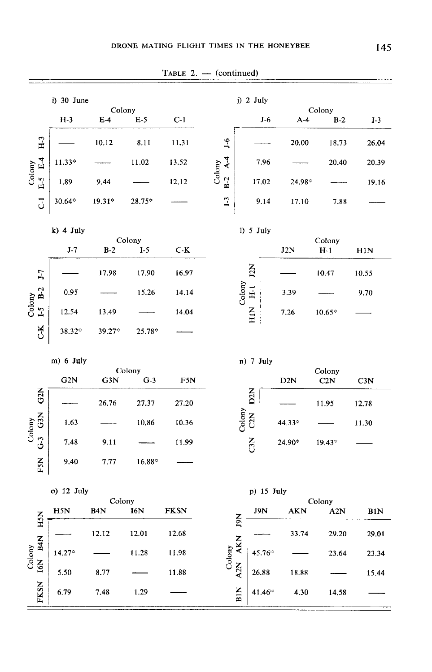| i) 30 June<br>$j)$ 2 July<br>Colony<br>$H-3$<br>$E-4$<br>$E-5$<br>$C-1$<br>$J-6$<br>$A-4$<br>H <sub>3</sub><br>$J-6$<br>10.12<br>8.11<br>11.31<br>20.00<br>$\overline{A}$ .4<br>$E-5$ $E-4$<br>7.96<br>$11.33*$<br>11.02<br>13.52<br>Colony<br>Colony<br>$B-2$<br>1.89<br>12.12<br>17.02<br>9.44<br>24.98*<br>$\mathbf{L}$<br>$\overline{c}$<br>30.64*<br>$19.31*$<br>28.75*<br>9.14<br>17.10<br>$k)$ 4 July<br>1) 5 July<br>Colony<br>$J-7$<br>$B-2$<br>$I-5$<br>$C-K$<br>J2N<br>12N<br>$J-7$<br>17.90<br>16.97<br>17.98<br>Colony<br>H <sub>1</sub><br>$B-2$<br>0.95<br>15.26<br>14.14<br>3.39 | Colony<br>$B-2$<br>18.73<br>20.40<br>7.88<br>Colony<br>$H-1$ | $I-3$<br>26.04<br>20.39<br>19.16<br>H1N |
|--------------------------------------------------------------------------------------------------------------------------------------------------------------------------------------------------------------------------------------------------------------------------------------------------------------------------------------------------------------------------------------------------------------------------------------------------------------------------------------------------------------------------------------------------------------------------------------------------|--------------------------------------------------------------|-----------------------------------------|
|                                                                                                                                                                                                                                                                                                                                                                                                                                                                                                                                                                                                  |                                                              |                                         |
|                                                                                                                                                                                                                                                                                                                                                                                                                                                                                                                                                                                                  |                                                              |                                         |
|                                                                                                                                                                                                                                                                                                                                                                                                                                                                                                                                                                                                  |                                                              |                                         |
|                                                                                                                                                                                                                                                                                                                                                                                                                                                                                                                                                                                                  |                                                              |                                         |
|                                                                                                                                                                                                                                                                                                                                                                                                                                                                                                                                                                                                  |                                                              |                                         |
|                                                                                                                                                                                                                                                                                                                                                                                                                                                                                                                                                                                                  |                                                              |                                         |
|                                                                                                                                                                                                                                                                                                                                                                                                                                                                                                                                                                                                  |                                                              |                                         |
|                                                                                                                                                                                                                                                                                                                                                                                                                                                                                                                                                                                                  |                                                              |                                         |
|                                                                                                                                                                                                                                                                                                                                                                                                                                                                                                                                                                                                  |                                                              |                                         |
|                                                                                                                                                                                                                                                                                                                                                                                                                                                                                                                                                                                                  | 10.47                                                        | 10.55                                   |
|                                                                                                                                                                                                                                                                                                                                                                                                                                                                                                                                                                                                  |                                                              | 9.70                                    |
| Colony<br>$\overline{1}$<br><b>NIH</b><br>14.04<br>12.54<br>13.49<br>7.26                                                                                                                                                                                                                                                                                                                                                                                                                                                                                                                        | $10.65*$                                                     |                                         |
| čX<br>38.32 <sup>*</sup><br>39.27*<br>$25.78^{\circ}$                                                                                                                                                                                                                                                                                                                                                                                                                                                                                                                                            |                                                              |                                         |
| m) 6 July<br>n) 7 July                                                                                                                                                                                                                                                                                                                                                                                                                                                                                                                                                                           |                                                              |                                         |
| Colony<br>G3N<br>$G-3$<br>G <sub>2</sub> N<br>F5N<br>D <sub>2</sub> N                                                                                                                                                                                                                                                                                                                                                                                                                                                                                                                            | Colony<br>C2N                                                | C3N                                     |
| G2N<br>D2N<br>26.76<br>27.37<br>27.20                                                                                                                                                                                                                                                                                                                                                                                                                                                                                                                                                            | 11.95                                                        | 12.78                                   |
| Colony<br>GSN<br>C2N<br>Colony<br>1.63<br>10,86<br>10.36<br>44.33*                                                                                                                                                                                                                                                                                                                                                                                                                                                                                                                               |                                                              | 11.30                                   |
| ු<br>$\overline{3}$<br>7.48<br>9.11<br>11.99<br>24.90*                                                                                                                                                                                                                                                                                                                                                                                                                                                                                                                                           | $19.43^{\circ}$                                              |                                         |
| FSN<br>9.40<br>7.77<br>16.88*                                                                                                                                                                                                                                                                                                                                                                                                                                                                                                                                                                    |                                                              |                                         |
| o) 12 July<br>p) 15 July                                                                                                                                                                                                                                                                                                                                                                                                                                                                                                                                                                         |                                                              |                                         |
| Colony<br>B <sub>4</sub> N<br>H5N<br><b>I6N</b><br><b>FKSN</b><br>J9N<br><b>AKN</b><br>$\overline{S}$                                                                                                                                                                                                                                                                                                                                                                                                                                                                                            | Colony<br>A <sub>2</sub> N                                   | B1N                                     |
| N61<br>$\mathbf{H}$<br>12.12<br>12.01<br>12.68<br>33.74                                                                                                                                                                                                                                                                                                                                                                                                                                                                                                                                          | 29.20                                                        | 29.01                                   |
| B4N<br>A2N AKN<br>Colony<br>Colony<br>$14.27$ <sup>*</sup><br>11.28<br>11.98<br>45.76*                                                                                                                                                                                                                                                                                                                                                                                                                                                                                                           | 23.64                                                        | 23.34                                   |
| I6N<br>11.88<br>26.88<br>5.50<br>8.77<br>18.88                                                                                                                                                                                                                                                                                                                                                                                                                                                                                                                                                   |                                                              | 15.44                                   |
| <b>FKSN</b><br>BIN<br>6.79<br>7.48<br>1.29<br>41.46*<br>4.30                                                                                                                                                                                                                                                                                                                                                                                                                                                                                                                                     | 14.58                                                        |                                         |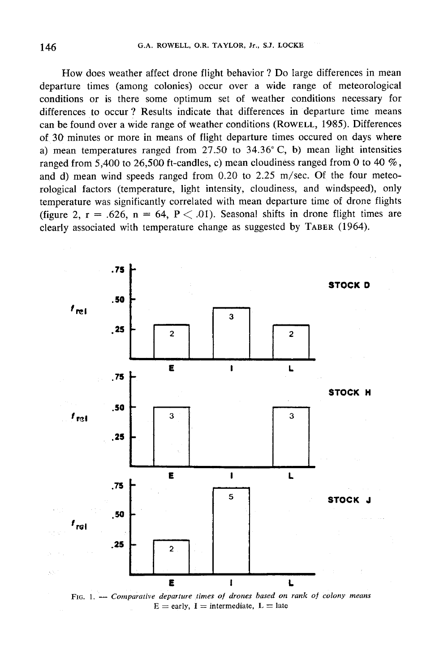How does weather affect drone flight behavior ? Do large differences in mean departure times (among colonies) occur over a wide range of meteorological conditions or is there some optimum set of weather conditions necessary for differences to occur ? Results indicate that differences in departure time means How does weather affect drone flight behavior? Do large differences in mean<br>departure times (among colonies) occur over a wide range of meteorological<br>conditions or is there some optimum set of weather conditions necessary of 30 minutes or more in means of flight departure times occured on days where a) mean temperatures ranged from  $27.50$  to  $34.36^{\circ}$  C, b) mean light intensities ranged from 5,400 to 26,500 ft-candles, c) mean cloudiness ranged from 0 to 40 %, and d) mean wind speeds ranged from 0.20 to 2.25 m/sec. Of the four meteorological factors (temperature, light intensity, cloudiness, and windspeed), only temperature was significantly correlated with mean departure time of drone flights (figure 2,  $r = .626$ ,  $n = 64$ ,  $P < .01$ ). Seasonal shifts in drone flight times are clearly associated with temperature change as suggested (figure 2, r = .626, n = 64, P  $<$  .01). Seasonal shifts in drone flight times are clearly associated with temperature change as suggested by TABER (1964).



FIG. 1. - Comparative departure times of drones based on rank of colony means  $E =$ early, I = intermediate, L = late

146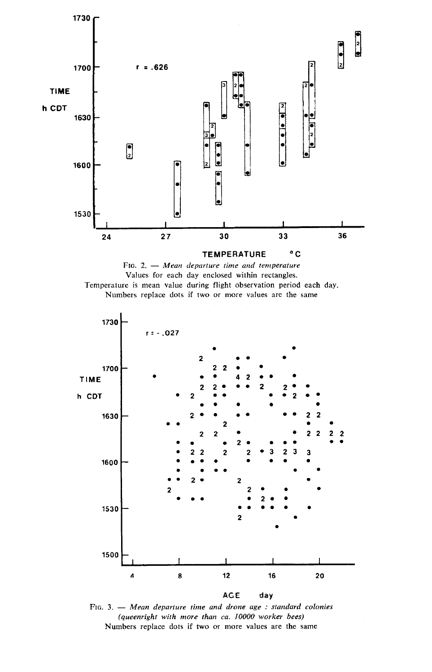





FIG. 3.  $-$  Mean departure time and drone age : standard colonies (queenright with more than ca. 10000 worker bees) Numbers replace dots if two or more values are the same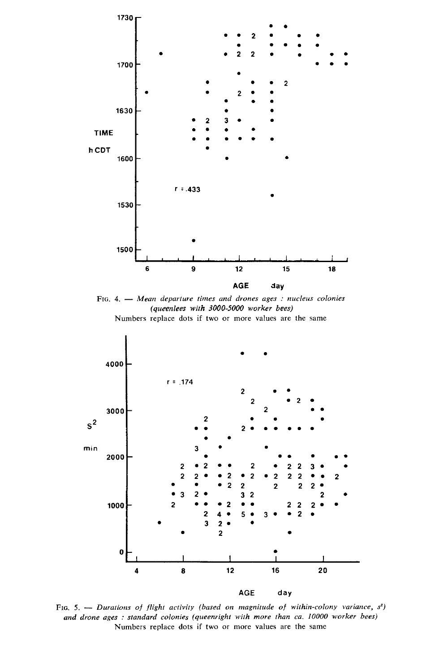

FIG. 4. - Mean departure times and drones ages : nucleus colonies (queenlees with 3000-5000 worker bees) Numbers replace dots if two or more values are the same



FIG. 5. - Durations of flight activity (based on magnitude of within-colony variance,  $s^2$ ) and drone ages : standard colonies (queenright with more than ca. 10000 worker bees) Numbers replace dots if two or more values are the same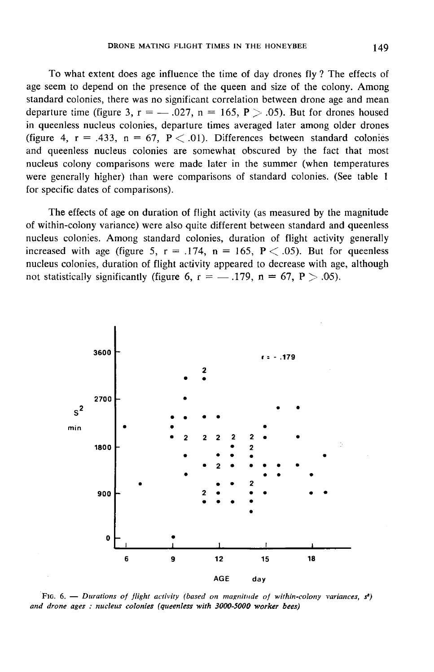To what extent does age influence the time of day drones fly ? The effects of age seem to depend on the presence of the queen and size of the colony. Among standard colonies, there was no significant correlation between drone age and mean departure time (figure 3,  $r =$  -0.027,  $n = 165$ ,  $P > .05$ ). But for drones housed in queenless nucleus colonies, departure times averaged later among older drones (figure 4,  $r = .433$ ,  $n = 67$ ,  $P < .01$ ). Differences between standard colonies and queenless nucleus colonies are somewhat obscured by the fact that most nucleus colony comparisons were made later in the summer (when temperatures were generally higher) than were comparisons of standard colonies. (See table 1 for specific dates of comparisons).

The effects of age on duration of flight activity (as measured by the magnitude of within-colony variance) were also quite different between standard and queenless nucleus colonies. Among standard colonies, duration of flight activity generally increased with age (figure 5,  $r = .174$ ,  $n = 165$ ,  $P < .05$ ). But for queenless nucleus colonies, duration of flight activity appeared to decrease with age, although not statistically significantly (figure 6,  $r =$  - .179, n = 67, P > :05).



FIG. 6. — Durations of flight activity (based on magnitude of within-colony variances,  $s^i$ ) and drone ages: nucleus colonies (queenless with 3000-5000 worker bees)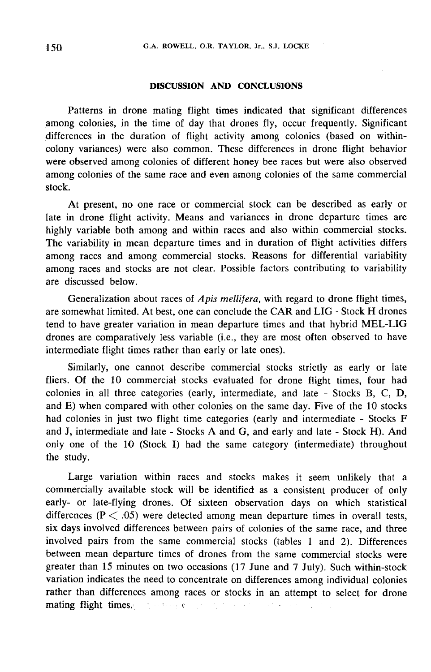# DISCUSSION AND CONCLUSIONS

Patterns in drone mating flight times indicated that significant differences among colonies, in the time of day that drones fly, occur frequently. Significant differences in the duration of flight activity among colonies (based on withincolony variances) were also common. These differences in drone flight behavior were observed among colonies of different honey bee races but were also observed among colonies of the same race and even among colonies of the same commercial stock.

At present, no one race or commercial stock can be described as early or late in drone flight activity. Means and variances in drone departure times are highly variable both among and within races and also within commercial stocks. The variability in mean departure times and in duration of flight activities differs among races and among commercial stocks. Reasons for differential variability among races and stocks are not clear. Possible factors contributing to variability are discussed below.

Generalization about races of *Apis mellifera*, with regard to drone flight times, are somewhat limited. At best, one can conclude the CAR and LIG - Stock H drones tend to have greater variation in mean departure times and that hybrid MEL-LIG drones are comparatively less variable (i.e., they are most often observed to have intermediate flight times rather than early or late ones).

Similarly, one cannot describe commercial stocks strictly as early or late fliers. Of the 10 commercial stocks evaluated for drone flight times, four had colonies in all three categories (early, intermediate, and late - Stocks B, C, D, and E) when compared with other colonies on the same day. Five of the 10 stocks had colonies in just two flight time categories (early and intermediate - Stocks F and J, intermediate and late - Stocks A and G, and early and late - Stock H). And only one of the 10 (Stock I) had the same category (intermediate) throughout the study.

Large variation within races and stocks makes it seem unlikely that a commercially available stock will be identified as a consistent producer of only early- or late-flying drones. Of sixteen observation days on which statistical differences ( $P < .05$ ) were detected among mean departure times in overall tests, six days involved differences between pairs of colonies of the same race, and three involved pairs from the same commercial stocks (tables 1 and 2). Differences between mean departure times of drones from the same commercial stocks were greater than 15 minutes on two occasions (17 June and 7 July). Such within-stock variation indicates the need to concentrate on differences among individual colonies rather than differences among races or stocks in an attempt to select for drone variation indicates the need to concentrate on differences amore rather than differences among races or stocks in an attemptating flight times.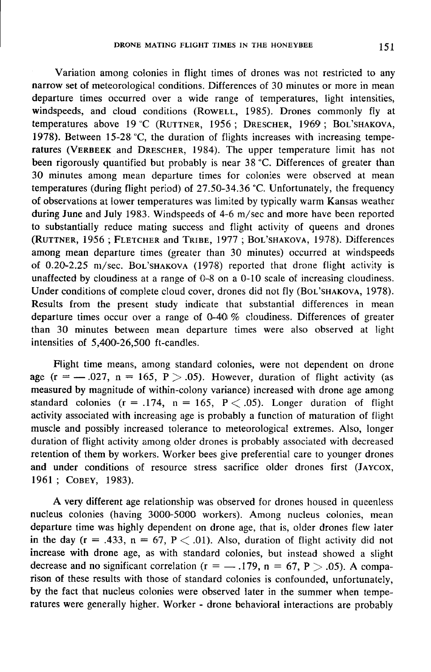Variation among colonies in flight times of drones was not restricted to any narrow set of meteorological conditions. Differences of 30 minutes or more in mean departure times occurred over a wide range of temperatures, light intensities, windspeeds, and cloud conditions (RowELL, 1985). Drones commonly fly at temperatures above  $19 \text{ °C}$  (RUTTNER, 1956; DRESCHER, 1969; Variation among colonies in flight times of drones was not restricted to any<br>narrow set of meteorological conditions. Differences of 30 minutes or more in mean<br>departure times occurred over a wide range of temperatures, li departure times occurred over a wide range of temperatures, light intensities, windspeeds, and cloud conditions (ROWELL, 1985). Drones commonly fly at temperatures above 19 °C (RUTTNER, 1956; DRESCHER, 1969; BOL'SHAKOVA, 1 been rigorously quantified but probably is near 38 °C. Differences of greater than 30 minutes among mean departure times for colonies were observed at mean temperatures (during flight period) of 27.50-34.36 °C. Unfortunately, the frequency of observations at lower temperatures was limited by typically warm Kansas weather during June and July 1983. Windspeeds of 4-6 m/sec and more have been reported to substantially reduce mating success and flight activity of queens and drones been rigorously quantified out probably is hear 36 °C. Differences of greater than<br>30 minutes among mean departure times for colonies were observed at mean<br>temperatures (during flight period) of 27.50-34.36 °C. Unfortunate among mean departure times (greater than 30 minutes) occurred at windspeeds of 0.20-2.25 m/sec. BoL'SHAKOVA (1978) reported that drone flight activity is of observations at lower temperatures was limited by typically warm Kansas weather<br>during June and July 1983. Windspeeds of 4-6 m/sec and more have been reported<br>to substantially reduce mating success and flight activity unaffected by cloudiness at a range of 0-8 on a 0-10 scale of increasing cloudiness.<br>Under conditions of complete cloud cover, drones did not fly (BoL'SHAKOVA, 1978). during June and July 1983. Windspeeds of 4-6 m/sec and more have been reported<br>to substantially reduce mating success and flight activity of queens and drones<br>(RUTTNER, 1956; FLETCHER and TRIBE, 1977; BOL'SHAKOVA, 1978). D Results from the present study indicate that substantial differences in mean departure times occur over a range of  $0-40\%$  cloudiness. Differences of greater than 30 minutes between mean departure times were also observed at light intensities of  $5,400-26,500$  ft-candles.

Flight time means, among standard colonies, were not dependent on drone age ( $r = -.027$ ,  $n = 165$ ,  $P > .05$ ). However, duration of flight activity (as measured by magnitude of within-colony variance) increased with drone age among standard colonies  $(r = .174, n = 165, P < .05)$ . Longer duration of flight activity associated with increasing age is probably a function of maturation of flight muscle and possibly increased tolerance to meteorological extremes. Also, longer duration of flight activity among older drones is probably associated with decreased retention of them by workers. Worker bees give preferential care to younger drones muscle and possibly increased tolerance to meteorological extremes. Also, longer<br>duration of flight activity among older drones is probably associated with decreased<br>retention of them by workers. Worker bees give preferent retention of them by wo<br>
and under conditions<br>
1961 ; Cobey, 1983).

A very different age relationship was observed for drones housed in queenless nucleus colonies (having 3000-5000 workers). Among nucleus colonies, mean departure time was highly dependent on drone age, that is, older drones flew later in the day  $(r = .433, n = 67, P < .01)$ . Also, duration of flight activity did not increase with drone age, as with standard colonies, but instead showed a slight decrease and no significant correlation ( $r = -1.179$ ,  $n = 67$ ,  $P > 0.05$ ). A comparison of these results with those of standard colonies is confounded, unfortunately, by the fact that nucleus colonies were observed later in the summer when temperatures were generally higher. Worker - drone behavioral interactions are probably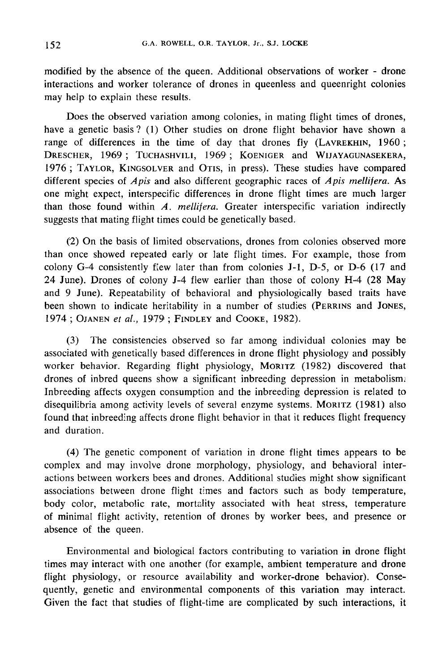modified by the absence of the queen. Additional observations of worker - drone interactions and worker tolerance of drones in queenless and queenright colonies may help to explain these results.

Does the observed variation among colonies, in mating flight times of drones, have a genetic basis ? (1) Other studies on drone flight behavior have shown a may neip t<br>Does<br>have a gen<br>range of c<br>Drescher,<br>1976; TA interactions and worker tolerance of drones in queenless and queenright colonies<br>may help to explain these results.<br>Does the observed variation among colonies, in mating flight times of drones,<br>have a genetic basis? (1) Ot may neip to explain t<br>Does the observe<br>have a genetic basis?<br>range of differences<br>DRESCHER, 1969; 1<br>1976; TAYLOR, KINC  $\frac{1}{2}$  Does the observed variat<br>have a genetic basis ? (1) Of<br>range of differences in the<br>DRESCHER, 1969; TUCHASH<br>1976; TAYLOR, KINGSOLVER<br>different species of *Apis* and 1969; TUCHASHVILI, 1969; KOENIGER and Exerciberance of drones in queenl<br>these results.<br>
Ed variation among colonies, in m<br>
? (1) Other studies on drone flig<br>
in the time of day that drone<br>
TUCHASHVILI, 1969; KOENIGER<br>
GSOLVER and OTIS, in press). The<br>
state of III, 1969; KOENIGER and WIJAYAGUNASEKERA,<br>and OTIS, in press). These studies have compared<br>les different ecographic reses of Anis mallifers. As Solet The Solet Text<br>
state of drones,<br>
state of drones,<br>
state of drones,<br>
state of drones,<br>
Solet The Solet Text<br>
Solet The Solet Text<br>
Solet The Solet Text<br>
state of Apis mellifera. As different species of *Apis* and also different geographic races of *Apis mellifera*. As one might expect, interspecific differences in drone flight times are much larger than those found within  $A$ . mellifera. Greater interspecific variation indirectly suggests that mating flight times could be genetically based.

(2) On the basis of limited observations, drones from colonies observed more than once showed repeated early or late flight times. For example, those from colony G-4 consistently flew later than from colonies J-1, D-5, or D-6 (17 and 24 June). Drones of colony J-4 flew earlier than those of colony H-4 (28 May and 9 June). Repeatability of behavioral and physiologically based traits have 24 June). Drones of colony J-4 flew earlier than those of colony H-4 (28 May<br>and 9 June). Repeatability of behavioral and physiologically based traits have<br>been shown to indicate heritability in a number of studies (PERRIN

(3) The consistencies observed so far among individual colonies may be associated with genetically based differences in drone flight physiology and possibly (3) The consistencies observed so far among individual colonies may be<br>associated with genetically based differences in drone flight physiology and possibly<br>worker behavior. Regarding flight physiology, MORITZ (1982) disco drones of inbred queens show a significant inbreeding depression in metabolism: Inbreeding affects oxygen consumption and the inbreeding depression is related to worker behavior. Regarding flight physiology, MORITZ (1982) discovered that drones of inbred queens show a significant inbreeding depression in metabolism.<br>Inbreeding affects oxygen consumption and the inbreeding depressio found that inbreeding affects drone flight behavior in that it reduces flight frequency and duration.

(4) The genetic component of variation in drone flight times appears to be complex and may involve drone morphology, physiology, and behavioral interactions between workers bees and drones. Additional studies might show significant associations between drone flight times and factors such as body temperature, body color, metabolic rate, mortality associated with heat stress, temperature of minimal flight activity, retention of drones by worker bees, and presence or absence of the queen.

Environmental and biological factors contributing to variation in drone flight times may interact with one another (for example, ambient temperature and drone flight physiology, or resource availability and worker-drone behavior). Consequently, genetic and environmental components of this variation may interact. Given the fact that studies of flight-time are complicated by such interactions, it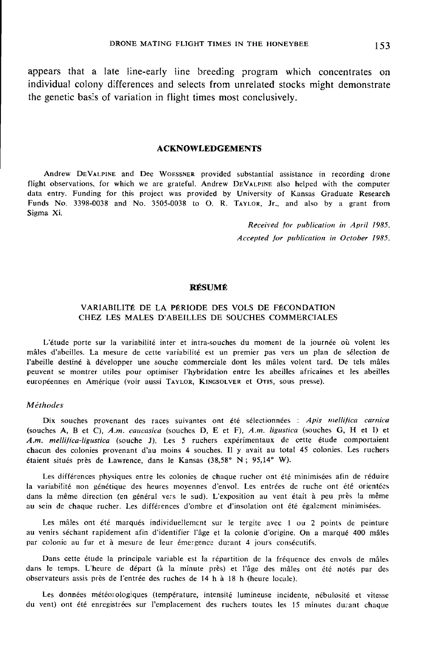appears that a late line-early line breeding program which concentrates on individual colony differences and selects from unrelated stocks might demonstrate the genetic basis of variation in flight times most conclusively.

#### ACKNOWLEDGEMENTS

Andrew DEVALPINE and Dee WOESSNER provided substantial assistance in recording drone flight observations, for which we are grateful. Andrew DEVALPINE also helped with the computer ACKNOWLEDGEMENTS<br>
Andrew DEVALPINE and Dee WOESSNER provided substantial assistance in recording drone<br>
flight observations, for which we are grateful. Andrew DEVALPINE also helped with the computer<br>
data entry. Funding fo Andrew DEVALPINE and Dee WOESSNER provided substantial assistance in recording drone<br>flight observations, for which we are grateful. Andrew DEVALPINE also helped with the computer<br>data entry. Funding for this project was p Sigma Xi.

> Received for publication in April 1985. Accepted for publication in October 1985.

# RÉSUME

# VARIABILITÉ DE LA PÉRIODE DES VOLS DE FÉCONDATION CHEZ LES MALES D'ABEILLES DE SOUCHES COMMERCIALES

L'étude porte sur la variabilité inter et intra-souches du moment de la journée où volent les mâles d'abeilles. La mesure de cette variabilité est un premier pas vers un plan de sélection de l'abeille destiné à développer une souche commerciale dont les mâles volent tard. De tels mâles peuvent se montrer utiles pour optimiser l'hybridation entre les abeilles africaines et les abeilles européennes en Amérique (voir aussi TAYLOR, KINGSOLVER et OTIS, sous presse). mâles d'abeilles. La mesure de cette variabilité est un premier pas vers un pla<br>l'abeille destiné à développer une souche commerciale dont les mâles volent ta<br>peuvent se montrer utiles pour optimiser l'hybridation entre le

#### Méthodes

Dix souches provenant des races suivantes ont été sélectionnées : Apis mellifica carnica (souches A, B et C), A.m. caucasica (souches D, E et F), A.m. ligustica (souches G, H et I) et A.m. mellifica-ligustica (souche J). Les 5 ruchers expérimentaux de cette étude comportaient chacun des colonies provenant d'au moins 4 souches. Il y avait au total 45 colonies. Les ruchers étaient situés près de Lawrence, dans le Kansas (38,58° N ; 95,14° W).

Les différences physiques entre les colonies de chaque rucher ont été minimisées afin de réduire la variabilité non génétique des heures moyennes d'envol. Les entrées de ruche ont été orientées dans la même direction (en général vers le sud). L'exposition au vent était à peu près la même au sein de chaque rucher. Les différences d'ombre et d'insolation ont été également minimisées.

Les mâles ont été marqués individuellement sur le tergite avec 1 ou 2 points de peinture au venirs séchant rapidement afin d'identifier l'âge et la colonie d'origine. On a marqué 400 mâles par colonie au fur et à mesure de leur émergence durant 4 jours consécutifs.

Dans cette étude la principale variable est la répartition de la fréquence des envols de mâles dans le temps. L'heure de départ (à la minute près) et l'âge des mâles ont été notés par des observateurs assis près de l'entrée des ruches de 14 h à 18 h (heure locale).

Les données météorologiques (température, intensité lumineuse incidente, nébulosité et vitesse du vent) ont été enregistrées sur l'emplacement des ruchers toutes les 15 minutes durant chaque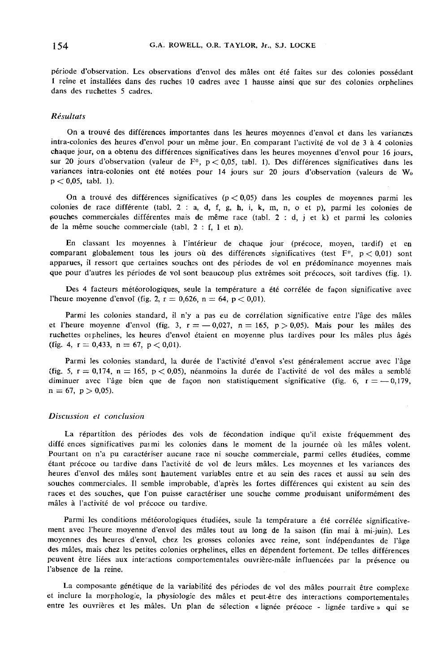période d'observation. Les observations d'envol des mâles ont été faites sur des colonies possédant 1 reine et installées dans des ruches 10 cadres avec 1 hausse ainsi que sur des colonies orphelines dans des ruchettes 5 cadres.

# Résultats

On a trouvé des différences importantes dans les heures moyennes d'envol et dans les variances intra-colonies des heures d'envol pour un même jour. En comparant l'activité de vol de 3 à 4 colonies chaque jour, on a obtenu des différences significatives dans les heures moyennes d'envol pour 16 jours, sur 20 jours d'observation (valeur de F\*, p < 0,05, tabl. 1). Des différences significatives dans les variances intra-colonies ont été notées pour 14 jours sur 20 jours d'observation (valeurs de Wo  $p < 0.05$ , tabl. 1).

On a trouvé des différences significatives ( $p < 0.05$ ) dans les couples de moyennes parmi les colonies de race différente (tabl. 2 : a, d, f, g, h, i, k, m, n, o et p), parmi les colonies de souches commerciales différentes mais de même race (tabl. 2 : d, j et k) et parmi les colonies de la même souche commerciale (tabl. 2 : f, 1 et n).

En classant les moyennes à l'intérieur de chaque jour (précoce, moyen, tardif) et en comparant globalement tous les jours où des différences significatives (test  $F^*$ ,  $p < 0.01$ ) sont apparues, il ressort que certaines souches ont des périodes de vol en prédominance moyennes mais que pour d'autres les périodes de vol sont beaucoup plus extrêmes soit précoces, soit tardives (fig. 1).

Des 4 facteurs météorologiques, seule la température a été corrélée de façon significative avec l'heure moyenne d'envol (fig. 2,  $r = 0.626$ ,  $n = 64$ ,  $p < 0.01$ ).

Parmi les colonies standard, il n'y a pas eu de corrélation significative entre l'âge des mâles et l'heure moyenne d'envol (fig. 3,  $r = -0.027$ ,  $n = 165$ ,  $p > 0.05$ ). Mais pour les mâles des ruchettes orphelines, les heures d'envol étaient en moyenne plus tardives pour les mâles plus âgés (fig. 4,  $r = 0.433$ ,  $n = 67$ ,  $p < 0.01$ ).

Parmi les colonies standard, la durée de l'activité d'envol s'est généralement accrue avec l'âge (fig. 5,  $r = 0.174$ ,  $n = 165$ ,  $p < 0.05$ ), néanmoins la durée de l'activité de vol des mâles a semblé diminuer avec l'âge bien que de façon non statistiquement significative (fig. 6,  $r = -0.179$ , n = 67, p > 0,05).

#### Discussion et conclusion

La répartition des périodes des vols de fécondation indique qu'il existe fréquemment des diffé ences significatives paimi les colonies dans le moment de la journée où les mâles volent. Pourtant on n'a pu caractériser aucune race ni souche commerciale, parmi celles étudiées, comme étant précoce ou tardive dans l'activité de vol de leurs mâles. Les moyennes et les variances des heures d'envol des mâles sont hautement variables entre et au sein des races et aussi au sein des souches commerciales. Il semble improbable, d'après les fortes différences qui existent au sein des races et des souches, que l'on puisse caractériser une souche comme produisant uniformément des mâles à l'activité de vol précoce ou tardive.

Parmi les conditions météorologiques étudiées, seule la température a été corrélée significative ment avec l'heure moyenne d'envol des mâles tout au long de la saison (fin mai à mi-juin). Les moyennes des heures d'envol, chez les grosses colonies avec reine, sont indépendantes de l'âge des mâles, mais chez les petites colonies orphelines, elles en dépendent fortement. De telles différences peuvent être liées aux interactions comportementales ouvrière-mâle influencées par la présence ou l'absence de la reine.

La composante génétique de la variabilité des périodes de vol des mâles pourrait être complexe et inclure la morphologie, la physiologie des mâles et peut-être des interactions comportementales entre les ouvrières et les mâles. Un plan de sélection « lignée précoce - lignée tardive » qui se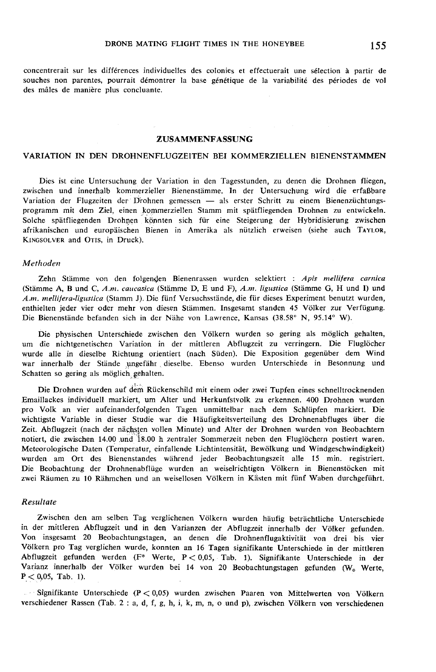concentrerait sur les différences individuelles des colonies et effectuerait une sélection à partir de souches non parentes, pourrait démontrer la base génétique de la variabilité des périodes de vol des mâles de manière plus concluante.

#### ZUSAMMENFASSUNG

#### VARIATION IN DEN DROHNENFLUGZEITEN BEI KOMMERZIELLEN BIENENSTAMMEN

Dies ist eine Untersuchung der Variation in den Tagesstunden, zu denen die Drohnen fliegen, zwischen und innerhalb kommerzieller Bienenstämme. In der Untersuchung wird die erfaßbare Variation der Flugzeiten der Drohnen gemessen - als erster Schritt zu einem Bienenzüchtungsprogramm mit dem Ziel, einen kommerziellen Stamm mit spätfliegenden Drohnen zu entwickeln. Solche spätfliegenden Drohnen könnten sich für eine Steigerung der Hybridisierung zwischen zwischen un<br>Variation d<br>programm<br>Solche spät<br>afrikanische<br>KINGSOLVER Variation der Flugzeiten der Drohnen gemessen — als erster Schritt zu einem Bienenzüchtungs-<br>programm mit dem Ziel, einen kommerziellen Stamm mit spätfliegenden Drohnen zu entwickeln.<br>Solche spätfliegenden Drohnen könnten afrikanischen und europäischen Bienen in Amerika als nützlich erweisen (siehe auch TAYLOR, KINGSOLVER and OTIS, in Druck).

#### Methoden

Zehn Stämme von den folgenden Bienenrassen wurden selektiert : Apis mellifera carnica (Stämme A, B und C, A.m. caucasica (Stämme D, E und F), A.m. ligustica (Stämme G, H und I) und A.m. mellifera-ligustica (Stamm J). Die fünf Versuchsstände, die für dieses Experiment benutzt wurden, enthielten jeder vier oder mehr von diesen Stämmen. Insgesamt standen 45 Völker zur Verfügung. Die Bienenstände befanden sich in der Nähe von Lawrence, Kansas (38.58° N, 95.14° W).

Die physischen Unterschiede zwischen den Völkern wurden so gering als möglich gehalten, um die nichtgenetischen Variation in der mittleren Abflugzeit zu verringern. Die Fluglöcher wurde alle in dieselbe Richtung orientiert (nach Süden). Die Exposition gegenüber dem Wind war innerhalb der Stände ungefähr dieselbe. Ebenso wurden Unterschiede in Besonnung und Schatten so gering als möglich gehalten.

Die Drohnen wurden auf dem Rückenschild mit einem oder zwei Tupfen eines schnelltrocknenden Emaillackes individuell markiert, um Alter und Herkunfstvolk zu erkennen. 400 Drohnen wurden pro Volk an vier aufeinanderfolgenden Tagen unmittelbar nach dem Schlüpfen markiert. Die wichtigste Variable in dieser Studie war die Häufigkeitsverteilung des Drohnenabfluges über die Zeit. Abflugzeit (nach der nächsten vollen Minute) und Alter der Drohnen wurden von Beobachtern notiert, die zwischen 14.00 und 18.00 h zentraler Sommerzeit neben den Fluglöchern postiert waren. Meteorologische Daten (Temperatur, einfallende Lichtintensität, Bewölkung und Windgeschwindigkeit) wurden am Ort des Bienenstandes während jeder Beobachtungszeit alle 15 min. registriert. Die Beobachtung der Drohnenabflüge wurden an weiselrichtigen Völkern in Bienenstöcken mit zwei Räumen zu 10 Rähmchen und an weisellosen Völkern in Kästen mit fünf Waben durchgeführt.

### Resultate

Zwischen den am selben Tag verglichenen Völkern wurden häufig beträchtliche Unterschiede in der mittleren Abflugzeit und in den Varianzen der Abflugzeit innerhalb der Völker gefunden. Von insgesamt 20 Beobachtungstagen, an denen die Drohnenflugaktivität von drei bis vier Völkern pro Tag verglichen wurde, konnten an 16 Tagen signifikante Unterschiede in der mittleren Abflugzeit gefunden werden (F'° Werte, P < 0,05, Tab. 1). Signifikante Unterschiede in der Varianz innerhalb der Völker wurden bei 14 von 20 Beobachtungstagen gefunden (W<sub>o</sub> Werte,  $P < 0.05$ , Tab. 1).

 $\therefore$  Signifikante Unterschiede (P < 0,05) wurden zwischen Paaren von Mittelwerten von Völkern verschiedener Rassen (Tab. 2 : a, d, f, g, h, i, k, m, n, o und p), zwischen Völkern von verschiedenen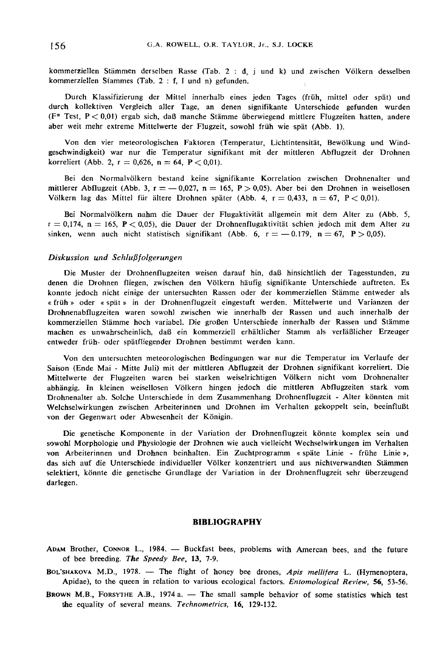kommerziellen Stämmen derselben Rasse (Tab. 2 : d, j und k) und zwischen Völkern desselben kommerziellen Stammes (Tab. 2 : f, 1 und n) gefunden.

Durch Klassifizierung der Mittel innerhalb eines jeden Tages (früh, mittel oder spät) und durch kollektiven Vergleich aller Tage, an denen signifikante Unterschiede gefunden wurden (F\* Test, P < 0,01) ergab sich, da&szlig; manche Stämme überwiegend mittlere Flugzeiten hatten, andere aber weit mehr extreme Mittelwerte der Flugzeit, sowohl früh wie spät (Abb. 1).

Von den vier meteorologischen Faktoren (Temperatur, Lichtintensität, Bewölkung und Windgeschwindigkeit) war nur die Temperatur signifikant mit der mittleren Abflugzeit der Drohnen korreliert (Abb. 2,  $r = 0.626$ ,  $n = 64$ ,  $P < 0.01$ ).

Bei den Normalvölkern bestand keine signifikante Korrelation zwischen Drohnenalter und mittlerer Abflugzeit (Abb. 3,  $r = -0.027$ ,  $n = 165$ ,  $P > 0.05$ ). Aber bei den Drohnen in weisellosen Völkern lag das Mittel für ältere Drohnen später (Abb. 4,  $r = 0.433$ ,  $n = 67$ ,  $P < 0.01$ ).

Bei Normalvölkern nahm die Dauer der Flugaktivität allgemein mit dem Alter zu (Abb. 5,  $r = 0,174$ ,  $n = 165$ ,  $P < 0,05$ ), die Dauer der Drohnenflugaktivität schien jedoch mit dem Alter zu sinken, wenn auch nicht statistisch signifikant (Abb. 6,  $r = -0.179$ ,  $n = 67$ ,  $P > 0.05$ ).

## Diskussion und Schlußfolgerungen

Die Muster der Drohnenflugzeiten weisen darauf hin, daß hinsichtlich der Tagesstunden, zu denen die Drohnen fliegen, zwischen den Völkern häufig signifikante Unterschiede auftreten. Es konnte jedoch nicht einige der untersuchten Rassen oder der kommerziellen Stämme entweder als « früh » oder « spät » in der Drohnenflugzeit eingestuft werden. Mittelwerte und Varianzen der Drohnenabflugzeiten waren sowohl zwischen wie innerhalb der Rassen und auch innerhalb der kommerziellen Stämme hoch variabel. Die großen Unterschiede innerhalb der Rassen und Stämme machen es unwahrscheinlich, daß ein kommerziell erhältlicher Stamm als verläßlicher Erzeuger entweder früh- oder spätfliegender Drohnen bestimmt werden kann.

Von den untersuchten meteorologischen Bedingungen war nur die Temperatur im Verlaufe der Saison (Ende Mai - Mitte Juli) mit der mittleren Abflugzeit der Drohnen signifikant korreliert. Die Mittelwerte der Flugzeiten waren bei starken weiselrichtigen Völkern nicht vom Drohnenalter abhängig. In kleinen weisellosen Völkern hingen jedoch die mittleren Abflugzeiten stark vom Drohnenalter ab. Solche Unterschiede in dem Zusammenhang Drohnenflugzeit - Alter könnten mit Welchselwirkungen zwischen Arbeiterinnen und Drohnen im Verhalten gekoppelt sein, beeinflußt von der Gegenwart oder Abwesenheit der Königin.

Die genetische Komponente in der Variation der Drohnenflugzeit könnte komplex sein und sowohl Morphologie und Physiologie der Drohnen wie auch vielleicht Wechselwirkungen im Verhalten von Arbeiterinnen und Drohnen beinhalten. Ein Zuchtprogramm « späte Linie - frühe Linie », das sich auf die Unterschiede individueller Völker konzentriert und aus nichtverwandten Stämmen selektiert, könnte die genetische Grundlage der Variation in der Drohnenflugzeit sehr überzeugend darlegen.

#### BIBLIOGRAPHY

- ADAM Brother, CONNOR L., 1984. Buckfast bees, problems with Amercan bees, and the future of bee breeding. The Speedy Bee, 13, 7-9.
- **BIBLIOGRAPHY**<br>ADAM Brother, CONNOR L., 1984. Buckfast bees, problems with Amercan bees, and the future<br>of bee breeding. *The Speedy Bee*, 13, 7-9.<br>BOL'SHAKOVA M.D., 1978. The flight of honey bee drones, *Apis mellifer* Apidae), to the queen in relation to various ecological factors. Entomological Review, 56, 53-56. of bee breeding. The Speedy Bee, 13, 7-9.<br>BOL'SHAKOVA M.D., 1978. — The flight of honey bee drones, Apis mellifera L. (Hymenoptera, Apidae), to the queen in relation to various ecological factors. *Entomological Review*, 5
- the equality of several means. Technometrics, 16, 129-132.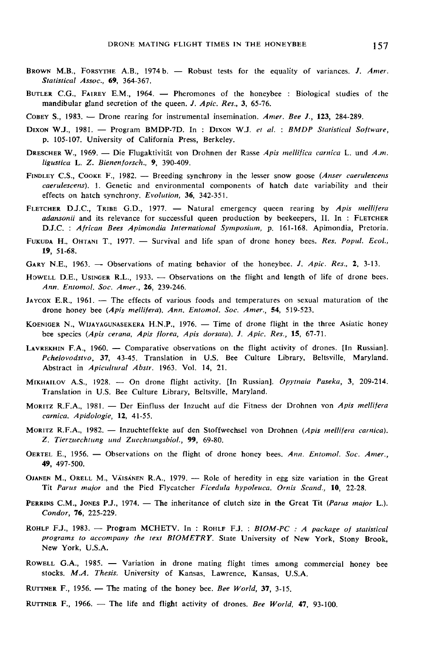- BROWN M.B., FORSYTHE A.B., 1974 b. Robust tests for the equality of variances. J. Amer.<br>Statistical Assoc., 69, 364-367.<br>BUTLER C.G., FAIREY E.M., 1964. Pheromones of the honeybee : Biological studies of the<br>mandibula Statistical Assoc., 69, 364-367.
- mandibular gland secretion of the queen. J. Apic. Res., 3, 65-76.
- COBEY S., 1983. Drone rearing for instrumental insemination. Amer. Bee J., 123, 284-289.
- COBEY S., 1983. -- Drone rearing for instrumental insemination. Amer. Bee J., 123, 284-289.<br>DIXON W.J., 1981. -- Program BMDP-7D. In : DIXON W.J. et al. : BMDP Statistical Software,<br>p. 105-107. University of California Pre p. 105-107. University of California Press, Berkeley.
- ligustica L. Z. Bienenforsch., 9, 390-409. DRESCHER W., 1969. - Die Flugaktivität von Drohnen der Rasse Apis mellifica carnica L. und A.m.
- caerulescens). 1. Genetic and environmental components of hatch date variability and their effects on hatch synchrony. Evolution, 36, 342-351. FINDLEY C.S., COOKE F., 1982. — Breeding synchrony in the lesser snow goose (*Anser caerulescens*). 1. Genetic and environmental components of hatch date variability and their effects on hatch synchrony. Evolution, 36, 342
- LET C.S., COOKE F., 1962. Breeding Sylchrony in the lesser show goose (Anser cuertuescens<br>caerulescens). 1. Genetic and environmental components of hatch date variability and their<br>effects on hatch synchrony. Evolution,
- FUKUDA H., OHTANI T., 1977. Survival and life span of drone honey bees. Res. Popul. Ecol., 19, 51-68.
- GARY N.E., 1963. Observations of mating behavior of the honeybee. J. Apic. Res., 2, 3-13.
- HORODA H., OHTANI 1., 1977.  $-$  Survival and the span of drone honey bees. Res. 19pm. 2001.,<br>19, 51-68.<br>GARY N.E., 1963.  $-$  Observations of mating behavior of the honeybee. J. Apic. Res., 2, 3-13.<br>HOWELL D.E., USINGER R. Ann. Entomol. Soc. Amer., 26, 239-246. HOWELL D.E., USINGER R.L., 1933. - Observations on the flight and length of life of drone bees.<br> *Ann. Entomol. Soc. Amer.*, 26, 239-246.<br>
JAYCOX E.R., 1961. -- The effects of various foods and temperatures on sexual matu FUKUDA H., OHTANI T., 1977. — Survival and lite span of drone honey bees. *Res. Popul. Ecol.*,<br> **19**, 51-68.<br>
GARY N.E., 1963. — Observations of mating behavior of the honeybee. *J. Apic. Res.*, 2, 3-13.<br>
Howell D.E., Usi
- drone honey bee (Apis mellifera). Ann. Entomol. Soc. Amer., 54, 519-523.
- bee species (Apis cerana, Apis florea, Apis dorsata). J. Apic. Res., 15, 67-71.
- LAYREKHIN F.A., 1961. -- The effects of various foods and temperatures on sexual maduration of the<br>drone honey bee (Apis mellifera), Ann. Entomol. Soc. Amer., 54, 519-523.<br>KOENIGER N., WIJAYAGUNASEKERA H.N.P., 1976. -- Tim Abstract in Apicultural Abstr. 1963. Vol. 14, 21.
- MTXHAILOV A.S., 1928. On drone flight activity. [In Russian]. *Opythaia Paseka*, 3, 209-214.<br>Translation in U.S. Bee Culture Library, Beltsville, Maryland.<br>MORITZ R.F.A., 1981. Der Einfluss der Inzucht auf die Fitness Translation in U.S. Bee Culture Library, Beltsville, Maryland.
- carnica. Apidologie, 12, 41-55. MORITZ R.F.A., 1981. — Der Einfluss der Inzucht auf die Fitness der Drohnen von Apis mellifera<br>carnica. Apidologie, 12, 41-55.<br>MORITZ R.F.A., 1982. — Inzuchteffekte auf den Stoffwechsel von Drohnen (Apis mellifera carnica)
- Z. Tierzuechtung und Zuechtungsbiol., 99, 69-80. MORITZ R.F.A., 1982. — Inzuchteffekte auf den Stoffwechsel von Drohnen (Apis mellifera carnica).<br>
Z. Tierzuechtung und Zuechtungsbiol., 99, 69-80.<br>
OERTEL E., 1956. — Observations on the flight of drone honey bees. Ann. E
- 49, 497-500. OERTEL E., 1956. — Observations on the flight of drone honey bees. Ann. Entomol. Soc. Amer.,<br> **49,** 497-500.<br>
OJANEN M., ORELL M., VÄISÄNEN R.A., 1979. — Role of heredity in egg size variation in the Great<br>
Tit Parus major
- Tit Parus major and the Pied Flycatcher Ficedula hypoleuca. Ornis Scand., 10, 22-28. OJANEN M., ORELL M., VÄISANEN R.A., 1979. -- Role of heredity in egg size variation in the Great Tit *Parus major* and the Pied Flycatcher *Ficedula hypoleuca. Ornis Scand.*, 10, 22-28.<br>PERRINS C.M., JONES P.J., 1974. -- T
- Condor, 76, 225-229. **PERRINS C.M., JONES P.J., 1974.** — The inheritance of clutch size in the Great Tit (*Parus major L.*).<br>Condor, 76, 225-229.<br>ROHLF F.J., 1983. — Program MCHETV. In : ROHLF F.J. : *BIOM-PC : A package of statistical*
- programs to accompany the text BIOMETRY. State University of New York, Stony Brook, New York, U.S.A.
- ROWELL G.A., 1985. Variation in drone mating flight times among commercial honey bee<br>stocks. M.A. Thesis. University of Kansas, Lawrence, Kansas, U.S.A.<br>RUTTNER F., 1956. The mating of the honey bee. Bee World, 37, 3stocks. M.A. Thesis. University of Kansas, Lawrence, Kansas, U.S.A.<br>RUTTNER F., 1956. — The mating of the honey bee. Bee World, 37, 3-15.<br>RUTTNER F., 1966. — The life and flight activity of drones. Bee World, 47, 93-100.
- 
-